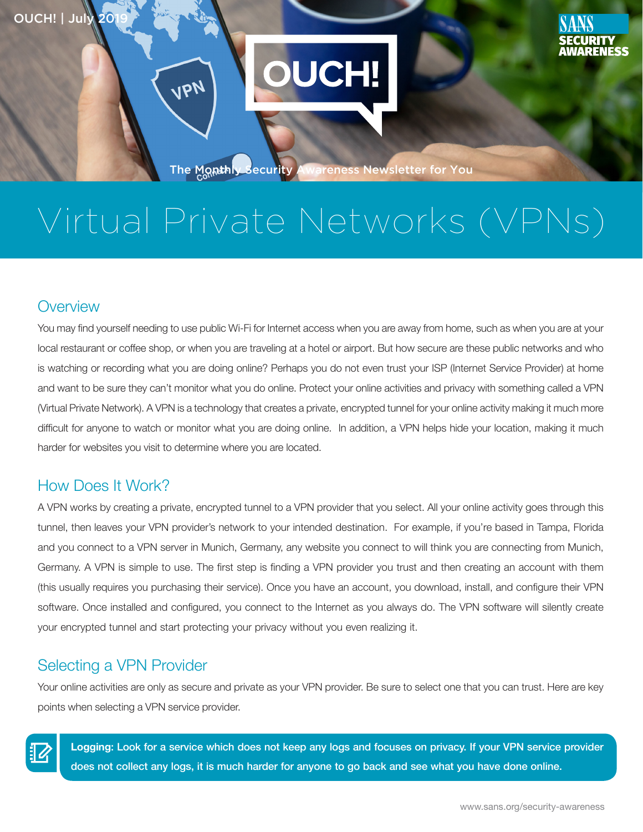19r



The Monthly Security Awareness Newsletter for You

# Virtual Private Networks (VPNs)

### **Overview**

You may find yourself needing to use public Wi-Fi for Internet access when you are away from home, such as when you are at your local restaurant or coffee shop, or when you are traveling at a hotel or airport. But how secure are these public networks and who is watching or recording what you are doing online? Perhaps you do not even trust your ISP (Internet Service Provider) at home and want to be sure they can't monitor what you do online. Protect your online activities and privacy with something called a VPN (Virtual Private Network). A VPN is a technology that creates a private, encrypted tunnel for your online activity making it much more difficult for anyone to watch or monitor what you are doing online. In addition, a VPN helps hide your location, making it much harder for websites you visit to determine where you are located.

### How Does It Work?

A VPN works by creating a private, encrypted tunnel to a VPN provider that you select. All your online activity goes through this tunnel, then leaves your VPN provider's network to your intended destination. For example, if you're based in Tampa, Florida and you connect to a VPN server in Munich, Germany, any website you connect to will think you are connecting from Munich, Germany. A VPN is simple to use. The first step is finding a VPN provider you trust and then creating an account with them (this usually requires you purchasing their service). Once you have an account, you download, install, and configure their VPN software. Once installed and configured, you connect to the Internet as you always do. The VPN software will silently create your encrypted tunnel and start protecting your privacy without you even realizing it.

### Selecting a VPN Provider

Your online activities are only as secure and private as your VPN provider. Be sure to select one that you can trust. Here are key points when selecting a VPN service provider.



Logging: Look for a service which does not keep any logs and focuses on privacy. If your VPN service provider does not collect any logs, it is much harder for anyone to go back and see what you have done online.